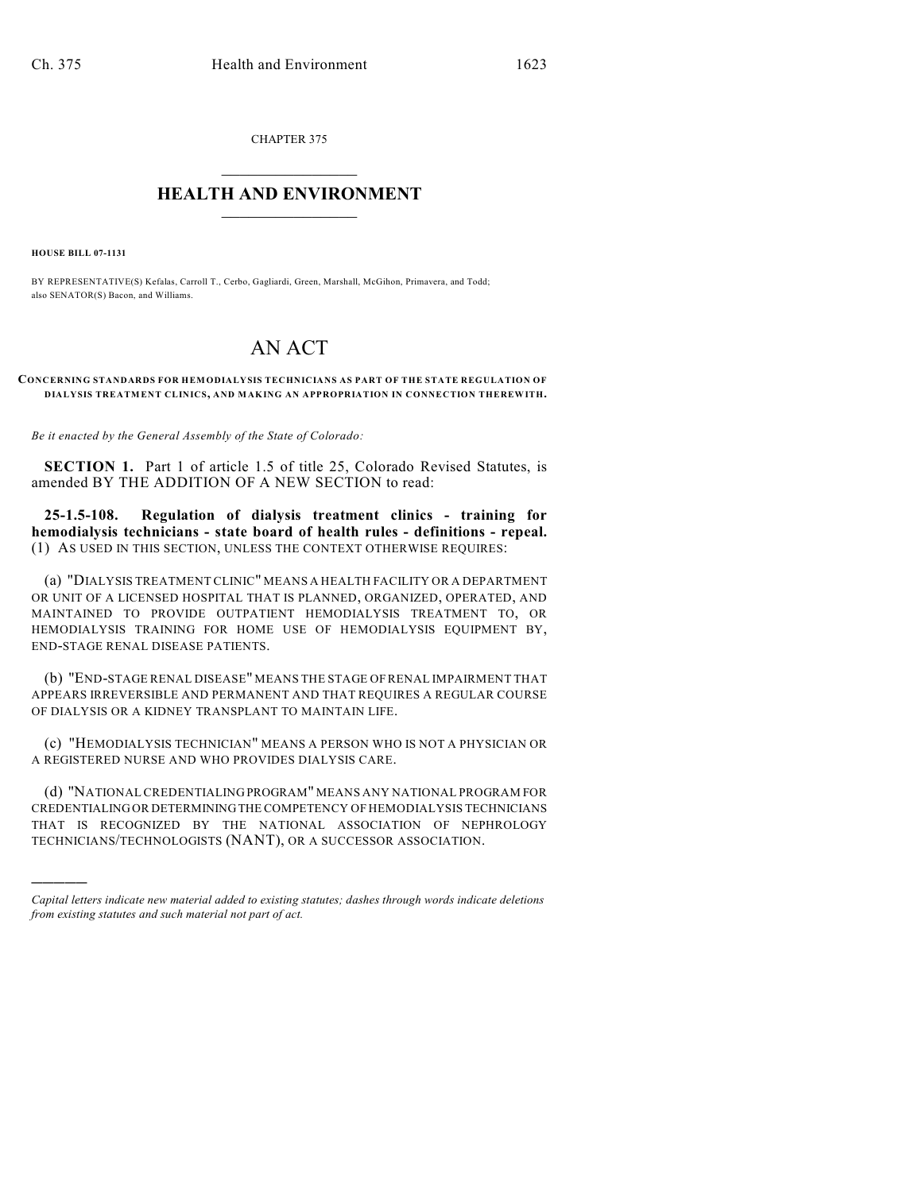CHAPTER 375  $\mathcal{L}_\text{max}$  . The set of the set of the set of the set of the set of the set of the set of the set of the set of the set of the set of the set of the set of the set of the set of the set of the set of the set of the set

## **HEALTH AND ENVIRONMENT**  $\_$

**HOUSE BILL 07-1131**

)))))

BY REPRESENTATIVE(S) Kefalas, Carroll T., Cerbo, Gagliardi, Green, Marshall, McGihon, Primavera, and Todd; also SENATOR(S) Bacon, and Williams.

## AN ACT

## **CONCERNING STANDARDS FOR HEMODIALYSIS TECHNICIANS AS PART OF THE STATE REGULATION OF DIALYSIS TREATMENT CLINICS, AND MAKING AN APPROPRIATION IN CONNECTION THEREWITH.**

*Be it enacted by the General Assembly of the State of Colorado:*

**SECTION 1.** Part 1 of article 1.5 of title 25, Colorado Revised Statutes, is amended BY THE ADDITION OF A NEW SECTION to read:

**25-1.5-108. Regulation of dialysis treatment clinics - training for hemodialysis technicians - state board of health rules - definitions - repeal.** (1) AS USED IN THIS SECTION, UNLESS THE CONTEXT OTHERWISE REQUIRES:

(a) "DIALYSIS TREATMENT CLINIC" MEANS A HEALTH FACILITY OR A DEPARTMENT OR UNIT OF A LICENSED HOSPITAL THAT IS PLANNED, ORGANIZED, OPERATED, AND MAINTAINED TO PROVIDE OUTPATIENT HEMODIALYSIS TREATMENT TO, OR HEMODIALYSIS TRAINING FOR HOME USE OF HEMODIALYSIS EQUIPMENT BY, END-STAGE RENAL DISEASE PATIENTS.

(b) "END-STAGE RENAL DISEASE" MEANS THE STAGE OF RENAL IMPAIRMENT THAT APPEARS IRREVERSIBLE AND PERMANENT AND THAT REQUIRES A REGULAR COURSE OF DIALYSIS OR A KIDNEY TRANSPLANT TO MAINTAIN LIFE.

(c) "HEMODIALYSIS TECHNICIAN" MEANS A PERSON WHO IS NOT A PHYSICIAN OR A REGISTERED NURSE AND WHO PROVIDES DIALYSIS CARE.

(d) "NATIONAL CREDENTIALING PROGRAM" MEANS ANY NATIONAL PROGRAM FOR CREDENTIALING OR DETERMINING THE COMPETENCY OF HEMODIALYSIS TECHNICIANS THAT IS RECOGNIZED BY THE NATIONAL ASSOCIATION OF NEPHROLOGY TECHNICIANS/TECHNOLOGISTS (NANT), OR A SUCCESSOR ASSOCIATION.

*Capital letters indicate new material added to existing statutes; dashes through words indicate deletions from existing statutes and such material not part of act.*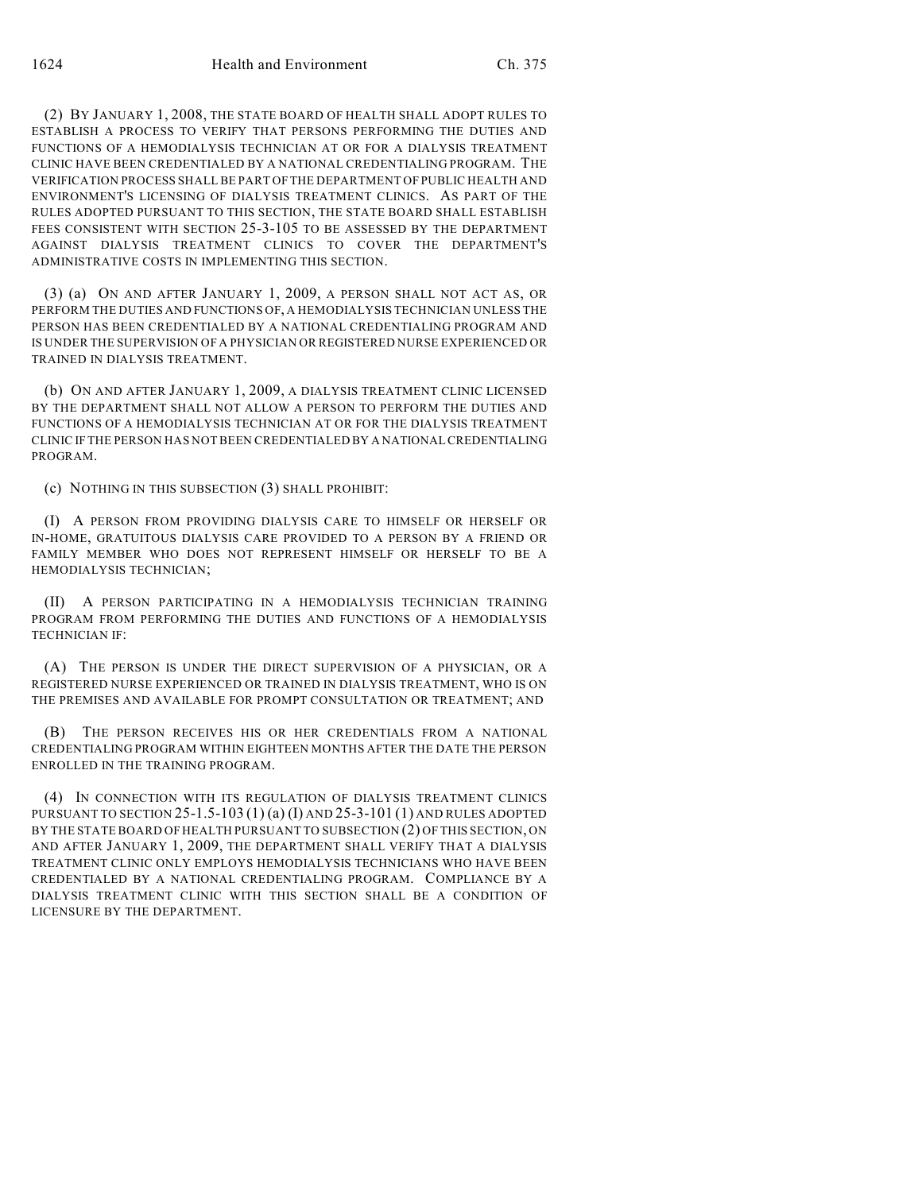(2) BY JANUARY 1, 2008, THE STATE BOARD OF HEALTH SHALL ADOPT RULES TO ESTABLISH A PROCESS TO VERIFY THAT PERSONS PERFORMING THE DUTIES AND FUNCTIONS OF A HEMODIALYSIS TECHNICIAN AT OR FOR A DIALYSIS TREATMENT CLINIC HAVE BEEN CREDENTIALED BY A NATIONAL CREDENTIALING PROGRAM. THE VERIFICATION PROCESS SHALL BE PART OF THE DEPARTMENT OF PUBLIC HEALTH AND ENVIRONMENT'S LICENSING OF DIALYSIS TREATMENT CLINICS. AS PART OF THE RULES ADOPTED PURSUANT TO THIS SECTION, THE STATE BOARD SHALL ESTABLISH FEES CONSISTENT WITH SECTION 25-3-105 TO BE ASSESSED BY THE DEPARTMENT AGAINST DIALYSIS TREATMENT CLINICS TO COVER THE DEPARTMENT'S ADMINISTRATIVE COSTS IN IMPLEMENTING THIS SECTION.

(3) (a) ON AND AFTER JANUARY 1, 2009, A PERSON SHALL NOT ACT AS, OR PERFORM THE DUTIES AND FUNCTIONS OF, A HEMODIALYSIS TECHNICIAN UNLESS THE PERSON HAS BEEN CREDENTIALED BY A NATIONAL CREDENTIALING PROGRAM AND IS UNDER THE SUPERVISION OF A PHYSICIAN OR REGISTERED NURSE EXPERIENCED OR TRAINED IN DIALYSIS TREATMENT.

(b) ON AND AFTER JANUARY 1, 2009, A DIALYSIS TREATMENT CLINIC LICENSED BY THE DEPARTMENT SHALL NOT ALLOW A PERSON TO PERFORM THE DUTIES AND FUNCTIONS OF A HEMODIALYSIS TECHNICIAN AT OR FOR THE DIALYSIS TREATMENT CLINIC IF THE PERSON HAS NOT BEEN CREDENTIALED BY A NATIONAL CREDENTIALING PROGRAM.

(c) NOTHING IN THIS SUBSECTION (3) SHALL PROHIBIT:

(I) A PERSON FROM PROVIDING DIALYSIS CARE TO HIMSELF OR HERSELF OR IN-HOME, GRATUITOUS DIALYSIS CARE PROVIDED TO A PERSON BY A FRIEND OR FAMILY MEMBER WHO DOES NOT REPRESENT HIMSELF OR HERSELF TO BE A HEMODIALYSIS TECHNICIAN;

(II) A PERSON PARTICIPATING IN A HEMODIALYSIS TECHNICIAN TRAINING PROGRAM FROM PERFORMING THE DUTIES AND FUNCTIONS OF A HEMODIALYSIS TECHNICIAN IF:

(A) THE PERSON IS UNDER THE DIRECT SUPERVISION OF A PHYSICIAN, OR A REGISTERED NURSE EXPERIENCED OR TRAINED IN DIALYSIS TREATMENT, WHO IS ON THE PREMISES AND AVAILABLE FOR PROMPT CONSULTATION OR TREATMENT; AND

(B) THE PERSON RECEIVES HIS OR HER CREDENTIALS FROM A NATIONAL CREDENTIALING PROGRAM WITHIN EIGHTEEN MONTHS AFTER THE DATE THE PERSON ENROLLED IN THE TRAINING PROGRAM.

(4) IN CONNECTION WITH ITS REGULATION OF DIALYSIS TREATMENT CLINICS PURSUANT TO SECTION 25-1.5-103 (1) (a) (I) AND 25-3-101 (1) AND RULES ADOPTED BY THE STATE BOARD OF HEALTH PURSUANT TO SUBSECTION (2) OF THIS SECTION, ON AND AFTER JANUARY 1, 2009, THE DEPARTMENT SHALL VERIFY THAT A DIALYSIS TREATMENT CLINIC ONLY EMPLOYS HEMODIALYSIS TECHNICIANS WHO HAVE BEEN CREDENTIALED BY A NATIONAL CREDENTIALING PROGRAM. COMPLIANCE BY A DIALYSIS TREATMENT CLINIC WITH THIS SECTION SHALL BE A CONDITION OF LICENSURE BY THE DEPARTMENT.